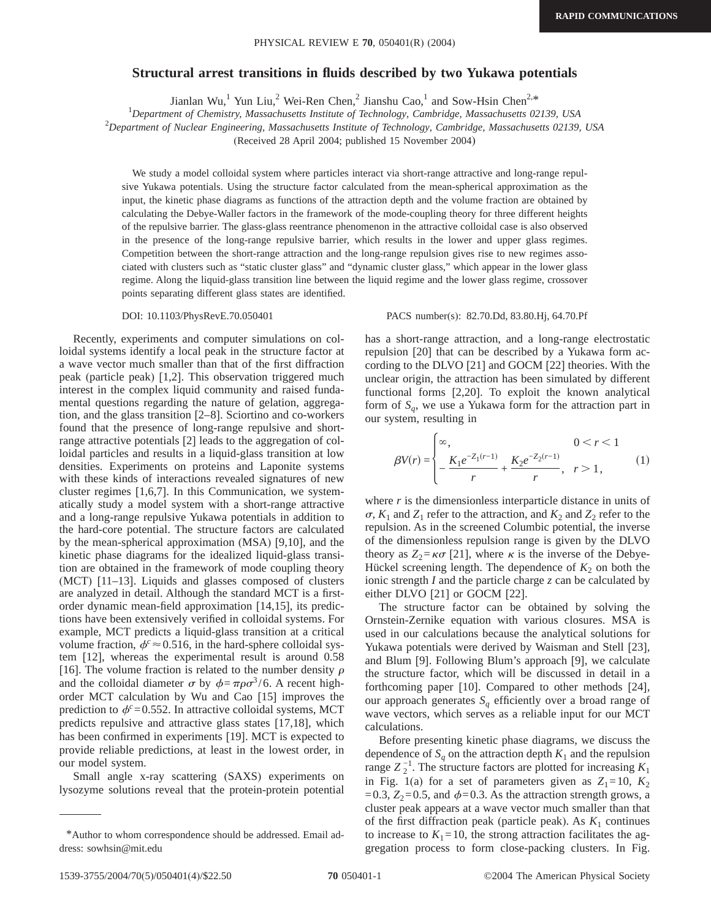## **Structural arrest transitions in fluids described by two Yukawa potentials**

Jianlan Wu,<sup>1</sup> Yun Liu,<sup>2</sup> Wei-Ren Chen,<sup>2</sup> Jianshu Cao,<sup>1</sup> and Sow-Hsin Chen<sup>2,\*</sup>

*Department of Chemistry, Massachusetts Institute of Technology, Cambridge, Massachusetts 02139, USA*

2 *Department of Nuclear Engineering, Massachusetts Institute of Technology, Cambridge, Massachusetts 02139, USA*

(Received 28 April 2004; published 15 November 2004)

We study a model colloidal system where particles interact via short-range attractive and long-range repulsive Yukawa potentials. Using the structure factor calculated from the mean-spherical approximation as the input, the kinetic phase diagrams as functions of the attraction depth and the volume fraction are obtained by calculating the Debye-Waller factors in the framework of the mode-coupling theory for three different heights of the repulsive barrier. The glass-glass reentrance phenomenon in the attractive colloidal case is also observed in the presence of the long-range repulsive barrier, which results in the lower and upper glass regimes. Competition between the short-range attraction and the long-range repulsion gives rise to new regimes associated with clusters such as "static cluster glass" and "dynamic cluster glass," which appear in the lower glass regime. Along the liquid-glass transition line between the liquid regime and the lower glass regime, crossover points separating different glass states are identified.

Recently, experiments and computer simulations on colloidal systems identify a local peak in the structure factor at a wave vector much smaller than that of the first diffraction peak (particle peak) [1,2]. This observation triggered much interest in the complex liquid community and raised fundamental questions regarding the nature of gelation, aggregation, and the glass transition [2–8]. Sciortino and co-workers found that the presence of long-range repulsive and shortrange attractive potentials [2] leads to the aggregation of colloidal particles and results in a liquid-glass transition at low densities. Experiments on proteins and Laponite systems with these kinds of interactions revealed signatures of new cluster regimes [1,6,7]. In this Communication, we systematically study a model system with a short-range attractive and a long-range repulsive Yukawa potentials in addition to the hard-core potential. The structure factors are calculated by the mean-spherical approximation (MSA) [9,10], and the kinetic phase diagrams for the idealized liquid-glass transition are obtained in the framework of mode coupling theory (MCT) [11–13]. Liquids and glasses composed of clusters are analyzed in detail. Although the standard MCT is a firstorder dynamic mean-field approximation [14,15], its predictions have been extensively verified in colloidal systems. For example, MCT predicts a liquid-glass transition at a critical volume fraction,  $\phi^c \approx 0.516$ , in the hard-sphere colloidal system [12], whereas the experimental result is around 0.58 [16]. The volume fraction is related to the number density  $\rho$ and the colloidal diameter  $\sigma$  by  $\phi = \pi \rho \sigma^3 / 6$ . A recent highorder MCT calculation by Wu and Cao [15] improves the prediction to  $\phi^c$ =0.552. In attractive colloidal systems, MCT predicts repulsive and attractive glass states [17,18], which has been confirmed in experiments [19]. MCT is expected to provide reliable predictions, at least in the lowest order, in our model system.

Small angle x-ray scattering (SAXS) experiments on lysozyme solutions reveal that the protein-protein potential

## DOI: 10.1103/PhysRevE.70.050401 PACS number(s): 82.70.Dd, 83.80.Hj, 64.70.Pf

has a short-range attraction, and a long-range electrostatic repulsion [20] that can be described by a Yukawa form according to the DLVO [21] and GOCM [22] theories. With the unclear origin, the attraction has been simulated by different functional forms [2,20]. To exploit the known analytical form of  $S_a$ , we use a Yukawa form for the attraction part in our system, resulting in

$$
\beta V(r) = \begin{cases} \infty, & 0 < r < 1 \\ \frac{K_1 e^{-Z_1(r-1)}}{r} + \frac{K_2 e^{-Z_2(r-1)}}{r}, & r > 1, \end{cases} \tag{1}
$$

where *r* is the dimensionless interparticle distance in units of  $\sigma$ ,  $K_1$  and  $Z_1$  refer to the attraction, and  $K_2$  and  $Z_2$  refer to the repulsion. As in the screened Columbic potential, the inverse of the dimensionless repulsion range is given by the DLVO theory as  $Z_2 = \kappa \sigma$  [21], where  $\kappa$  is the inverse of the Debye-Hückel screening length. The dependence of  $K_2$  on both the ionic strength *I* and the particle charge *z* can be calculated by either DLVO [21] or GOCM [22].

The structure factor can be obtained by solving the Ornstein-Zernike equation with various closures. MSA is used in our calculations because the analytical solutions for Yukawa potentials were derived by Waisman and Stell [23], and Blum [9]. Following Blum's approach [9], we calculate the structure factor, which will be discussed in detail in a forthcoming paper [10]. Compared to other methods [24], our approach generates  $S_q$  efficiently over a broad range of wave vectors, which serves as a reliable input for our MCT calculations.

Before presenting kinetic phase diagrams, we discuss the dependence of  $S_q$  on the attraction depth  $K_1$  and the repulsion range  $Z_2^{-1}$ . The structure factors are plotted for increasing  $K_1$ in Fig. 1(a) for a set of parameters given as  $Z_1=10$ ,  $K_2$ =0.3,  $Z_2$ =0.5, and  $\phi$ =0.3. As the attraction strength grows, a cluster peak appears at a wave vector much smaller than that of the first diffraction peak (particle peak). As  $K_1$  continues to increase to  $K_1 = 10$ , the strong attraction facilitates the aggregation process to form close-packing clusters. In Fig.

<sup>\*</sup>Author to whom correspondence should be addressed. Email address: sowhsin@mit.edu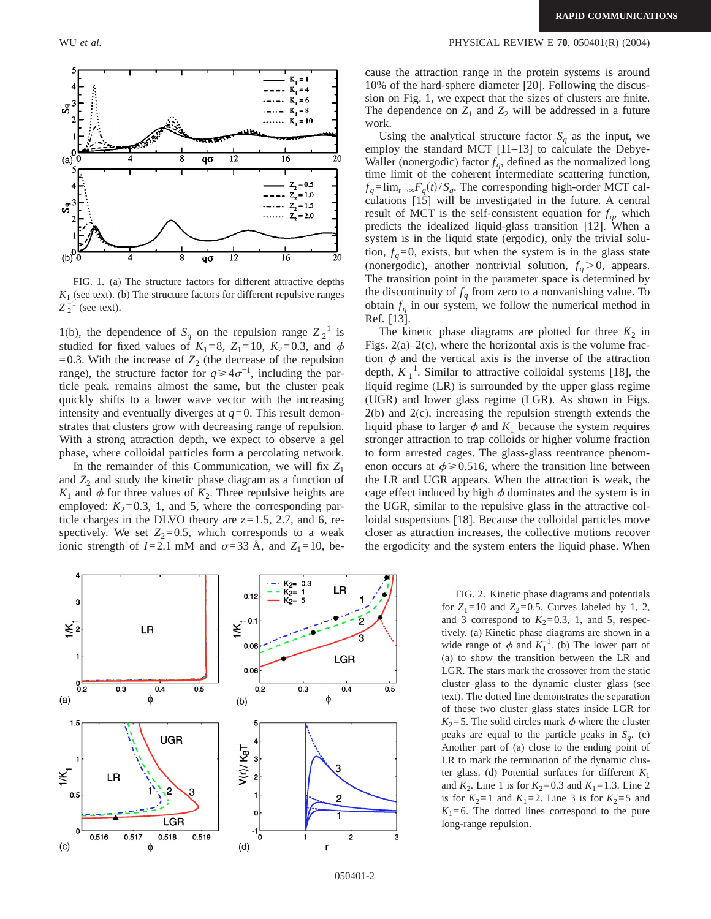

FIG. 1. (a) The structure factors for different attractive depths  $K<sub>1</sub>$  (see text). (b) The structure factors for different repulsive ranges  $Z_2^{-1}$  (see text).

1(b), the dependence of  $S_q$  on the repulsion range  $Z_2^{-1}$  is studied for fixed values of  $K_1=8$ ,  $Z_1=10$ ,  $K_2=0.3$ , and  $\phi$  $=0.3$ . With the increase of  $Z_2$  (the decrease of the repulsion range), the structure factor for  $q \ge 4\sigma^{-1}$ , including the particle peak, remains almost the same, but the cluster peak quickly shifts to a lower wave vector with the increasing intensity and eventually diverges at  $q=0$ . This result demonstrates that clusters grow with decreasing range of repulsion. With a strong attraction depth, we expect to observe a gel phase, where colloidal particles form a percolating network.

In the remainder of this Communication, we will fix  $Z_1$ and  $Z_2$  and study the kinetic phase diagram as a function of  $K_1$  and  $\phi$  for three values of  $K_2$ . Three repulsive heights are employed:  $K_2=0.3$ , 1, and 5, where the corresponding particle charges in the DLVO theory are  $z=1.5, 2.7,$  and 6, respectively. We set  $Z_2=0.5$ , which corresponds to a weak ionic strength of  $I=2.1$  mM and  $\sigma=33$  Å, and  $Z_1=10$ , because the attraction range in the protein systems is around 10% of the hard-sphere diameter [20]. Following the discussion on Fig. 1, we expect that the sizes of clusters are finite. The dependence on  $Z_1$  and  $Z_2$  will be addressed in a future work.

Using the analytical structure factor  $S_a$  as the input, we employ the standard MCT [11–13] to calculate the Debye-Waller (nonergodic) factor  $f_q$ , defined as the normalized long time limit of the coherent intermediate scattering function,  $f_q = \lim_{t \to \infty} F_q(t)/S_q$ . The corresponding high-order MCT calculations [15] will be investigated in the future. A central result of MCT is the self-consistent equation for  $f_q$ , which predicts the idealized liquid-glass transition [12]. When a system is in the liquid state (ergodic), only the trivial solution,  $f_q = 0$ , exists, but when the system is in the glass state (nonergodic), another nontrivial solution,  $f_q > 0$ , appears. The transition point in the parameter space is determined by the discontinuity of  $f_q$  from zero to a nonvanishing value. To obtain  $f_q$  in our system, we follow the numerical method in Ref. [13].

The kinetic phase diagrams are plotted for three  $K_2$  in Figs.  $2(a) - 2(c)$ , where the horizontal axis is the volume fraction  $\phi$  and the vertical axis is the inverse of the attraction depth,  $K_1^{-1}$ . Similar to attractive colloidal systems [18], the liquid regime (LR) is surrounded by the upper glass regime (UGR) and lower glass regime (LGR). As shown in Figs. 2(b) and 2(c), increasing the repulsion strength extends the liquid phase to larger  $\phi$  and  $K_1$  because the system requires stronger attraction to trap colloids or higher volume fraction to form arrested cages. The glass-glass reentrance phenomenon occurs at  $\phi \geq 0.516$ , where the transition line between the LR and UGR appears. When the attraction is weak, the cage effect induced by high  $\phi$  dominates and the system is in the UGR, similar to the repulsive glass in the attractive colloidal suspensions [18]. Because the colloidal particles move closer as attraction increases, the collective motions recover the ergodicity and the system enters the liquid phase. When



FIG. 2. Kinetic phase diagrams and potentials for  $Z_1 = 10$  and  $Z_2 = 0.5$ . Curves labeled by 1, 2, and 3 correspond to  $K_2=0.3$ , 1, and 5, respectively. (a) Kinetic phase diagrams are shown in a wide range of  $\phi$  and  $K_1^{-1}$ . (b) The lower part of (a) to show the transition between the LR and LGR. The stars mark the crossover from the static cluster glass to the dynamic cluster glass (see text). The dotted line demonstrates the separation of these two cluster glass states inside LGR for  $K_2$ =5. The solid circles mark  $\phi$  where the cluster peaks are equal to the particle peaks in  $S_a$ . (c) Another part of (a) close to the ending point of LR to mark the termination of the dynamic cluster glass. (d) Potential surfaces for different  $K_1$ and  $K_2$ . Line 1 is for  $K_2 = 0.3$  and  $K_1 = 1.3$ . Line 2 is for  $K_2=1$  and  $K_1=2$ . Line 3 is for  $K_2=5$  and  $K_1=6$ . The dotted lines correspond to the pure long-range repulsion.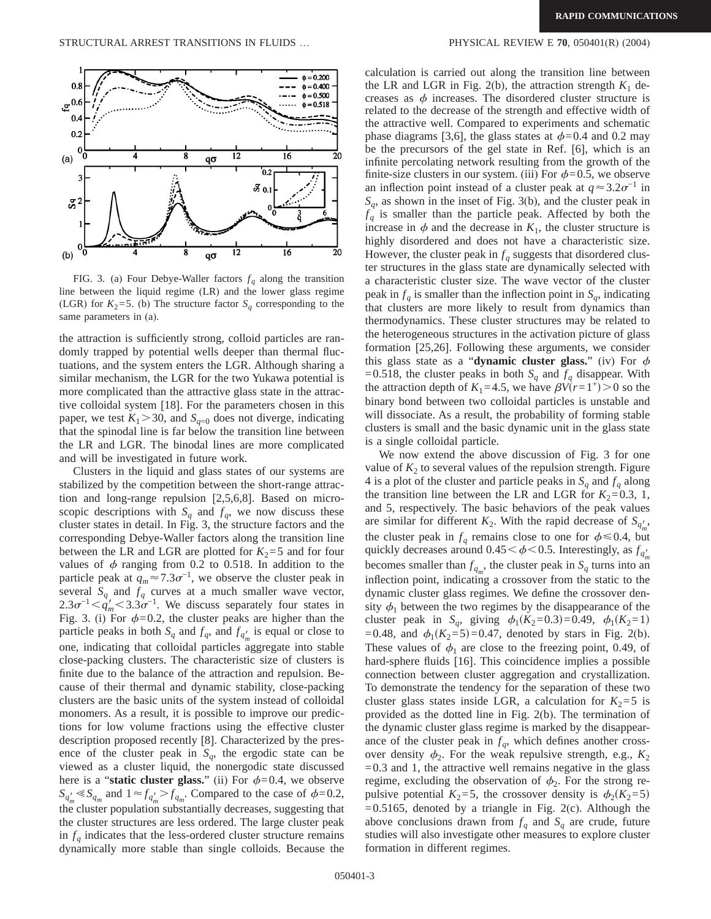

FIG. 3. (a) Four Debye-Waller factors  $f_q$  along the transition line between the liquid regime (LR) and the lower glass regime (LGR) for  $K_2 = 5$ . (b) The structure factor  $S_a$  corresponding to the same parameters in (a).

the attraction is sufficiently strong, colloid particles are randomly trapped by potential wells deeper than thermal fluctuations, and the system enters the LGR. Although sharing a similar mechanism, the LGR for the two Yukawa potential is more complicated than the attractive glass state in the attractive colloidal system [18]. For the parameters chosen in this paper, we test  $K_1 > 30$ , and  $S_{q=0}$  does not diverge, indicating that the spinodal line is far below the transition line between the LR and LGR. The binodal lines are more complicated and will be investigated in future work.

Clusters in the liquid and glass states of our systems are stabilized by the competition between the short-range attraction and long-range repulsion [2,5,6,8]. Based on microscopic descriptions with  $S_q$  and  $f_q$ , we now discuss these cluster states in detail. In Fig. 3, the structure factors and the corresponding Debye-Waller factors along the transition line between the LR and LGR are plotted for  $K_2 = 5$  and for four values of  $\phi$  ranging from 0.2 to 0.518. In addition to the particle peak at  $q_m \approx 7.3 \sigma^{-1}$ , we observe the cluster peak in several  $S_q$  and  $f_q$  curves at a much smaller wave vector,  $2.3\sigma^{-1} < \dot{q}'_m < 3.3\sigma^{-1}$ . We discuss separately four states in Fig. 3. (i) For  $\phi=0.2$ , the cluster peaks are higher than the particle peaks in both  $S_q$  and  $f_q$ , and  $f_{q'_m}$  is equal or close to one, indicating that colloidal particles aggregate into stable close-packing clusters. The characteristic size of clusters is finite due to the balance of the attraction and repulsion. Because of their thermal and dynamic stability, close-packing clusters are the basic units of the system instead of colloidal monomers. As a result, it is possible to improve our predictions for low volume fractions using the effective cluster description proposed recently [8]. Characterized by the presence of the cluster peak in  $S_q$ , the ergodic state can be viewed as a cluster liquid, the nonergodic state discussed here is a "**static cluster glass.**" (ii) For  $\phi$ =0.4, we observe  $S_{q'_m} \ll S_{q_m}$  and  $1 \approx f_{q'_m} > f_{q_m}$ . Compared to the case of  $\phi = 0.2$ , the cluster population substantially decreases, suggesting that the cluster structures are less ordered. The large cluster peak in  $f_q$  indicates that the less-ordered cluster structure remains dynamically more stable than single colloids. Because the

calculation is carried out along the transition line between the LR and LGR in Fig.  $2(b)$ , the attraction strength  $K_1$  decreases as  $\phi$  increases. The disordered cluster structure is related to the decrease of the strength and effective width of the attractive well. Compared to experiments and schematic phase diagrams [3,6], the glass states at  $\phi$ =0.4 and 0.2 may be the precursors of the gel state in Ref. [6], which is an infinite percolating network resulting from the growth of the finite-size clusters in our system. (iii) For  $\phi=0.5$ , we observe an inflection point instead of a cluster peak at  $q \approx 3.2\sigma^{-1}$  in  $S_q$ , as shown in the inset of Fig. 3(b), and the cluster peak in  $f_q$  is smaller than the particle peak. Affected by both the increase in  $\phi$  and the decrease in  $K_1$ , the cluster structure is highly disordered and does not have a characteristic size. However, the cluster peak in  $f_q$  suggests that disordered cluster structures in the glass state are dynamically selected with a characteristic cluster size. The wave vector of the cluster peak in  $f_a$  is smaller than the inflection point in  $S_a$ , indicating that clusters are more likely to result from dynamics than thermodynamics. These cluster structures may be related to the heterogeneous structures in the activation picture of glass formation [25,26]. Following these arguments, we consider this glass state as a "**dynamic cluster glass.**" (iv) For  $\phi$ =0.518, the cluster peaks in both  $S_q$  and  $f_q$  disappear. With the attraction depth of  $K_1$ =4.5, we have  $\beta V(r=1^+) > 0$  so the binary bond between two colloidal particles is unstable and will dissociate. As a result, the probability of forming stable clusters is small and the basic dynamic unit in the glass state is a single colloidal particle.

We now extend the above discussion of Fig. 3 for one value of  $K<sub>2</sub>$  to several values of the repulsion strength. Figure 4 is a plot of the cluster and particle peaks in  $S_q$  and  $f_q$  along the transition line between the LR and LGR for  $K_2=0.3, 1$ , and 5, respectively. The basic behaviors of the peak values are similar for different  $K_2$ . With the rapid decrease of  $S_{q'_m}$ , the cluster peak in  $f_a$  remains close to one for  $\phi \le 0.4$ , but quickly decreases around  $0.45 \leq \phi \leq 0.5$ . Interestingly, as  $f_{q'_m}$ becomes smaller than  $f_{q_m}$ , the cluster peak in  $S_q$  turns into an inflection point, indicating a crossover from the static to the dynamic cluster glass regimes. We define the crossover density  $\phi_1$  between the two regimes by the disappearance of the cluster peak in *S<sub>q</sub>*, giving  $\phi_1(K_2=0.3)=0.49$ ,  $\phi_1(K_2=1)$ =0.48, and  $\phi_1(K_2=5)=0.47$ , denoted by stars in Fig. 2(b). These values of  $\phi_1$  are close to the freezing point, 0.49, of hard-sphere fluids [16]. This coincidence implies a possible connection between cluster aggregation and crystallization. To demonstrate the tendency for the separation of these two cluster glass states inside LGR, a calculation for  $K_2 = 5$  is provided as the dotted line in Fig. 2(b). The termination of the dynamic cluster glass regime is marked by the disappearance of the cluster peak in  $f_q$ , which defines another crossover density  $\phi_2$ . For the weak repulsive strength, e.g.,  $K_2$  $=0.3$  and 1, the attractive well remains negative in the glass regime, excluding the observation of  $\phi_2$ . For the strong repulsive potential  $K_2=5$ , the crossover density is  $\phi_2(K_2=5)$  $=0.5165$ , denoted by a triangle in Fig. 2(c). Although the above conclusions drawn from  $f_q$  and  $S_q$  are crude, future studies will also investigate other measures to explore cluster formation in different regimes.